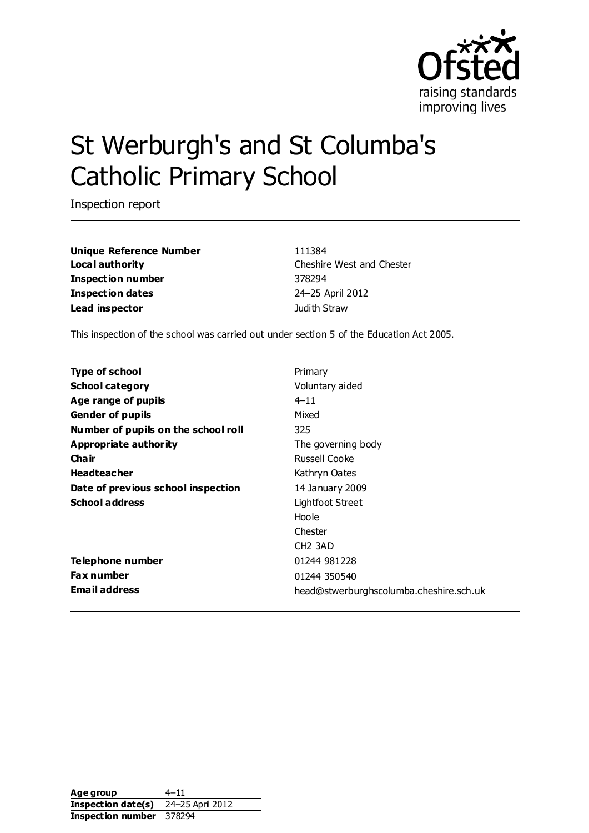

# St Werburgh's and St Columba's Catholic Primary School

Inspection report

**Unique Reference Number** 111384 **Local authority** Cheshire West and Chester **Inspection number** 378294 **Inspection dates** 24–25 April 2012 **Lead inspector Lead inspector Judith Straw** 

This inspection of the school was carried out under section 5 of the Education Act 2005.

| <b>Type of school</b>               | Primary                                 |
|-------------------------------------|-----------------------------------------|
| <b>School category</b>              | Voluntary aided                         |
| Age range of pupils                 | $4 - 11$                                |
| <b>Gender of pupils</b>             | Mixed                                   |
| Number of pupils on the school roll | 325                                     |
| Appropriate authority               | The governing body                      |
| Cha ir                              | Russell Cooke                           |
| <b>Headteacher</b>                  | Kathryn Oates                           |
| Date of previous school inspection  | 14 January 2009                         |
| <b>School address</b>               | Lightfoot Street                        |
|                                     | Hoole                                   |
|                                     | Chester                                 |
|                                     | CH <sub>2</sub> 3AD                     |
| Telephone number                    | 01244 981228                            |
| <b>Fax number</b>                   | 01244 350540                            |
| <b>Email address</b>                | head@stwerburghscolumba.cheshire.sch.uk |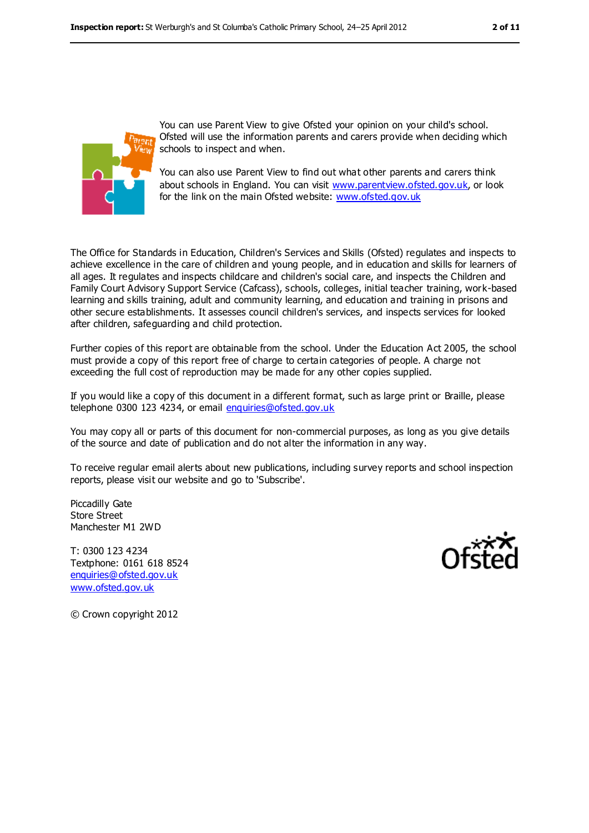

You can use Parent View to give Ofsted your opinion on your child's school. Ofsted will use the information parents and carers provide when deciding which schools to inspect and when.

You can also use Parent View to find out what other parents and carers think about schools in England. You can visit [www.parentview.ofsted.gov.uk,](../../AppData/Downloads/www.parentview.ofsted.gov.uk) or look for the link on the main Ofsted website: [www.ofsted.gov.uk](../../AppData/Downloads/www.ofsted.gov.uk)

The Office for Standards in Education, Children's Services and Skills (Ofsted) regulates and inspects to achieve excellence in the care of children and young people, and in education and skills for learners of all ages. It regulates and inspects childcare and children's social care, and inspects the Children and Family Court Advisory Support Service (Cafcass), schools, colleges, initial teacher training, work-based learning and skills training, adult and community learning, and education and training in prisons and other secure establishments. It assesses council children's services, and inspects services for looked after children, safeguarding and child protection.

Further copies of this report are obtainable from the school. Under the Education Act 2005, the school must provide a copy of this report free of charge to certain categories of people. A charge not exceeding the full cost of reproduction may be made for any other copies supplied.

If you would like a copy of this document in a different format, such as large print or Braille, please telephone 0300 123 4234, or email [enquiries@ofsted.gov.uk](mailto:enquiries@ofsted.gov.uk)

You may copy all or parts of this document for non-commercial purposes, as long as you give details of the source and date of publication and do not alter the information in any way.

To receive regular email alerts about new publications, including survey reports and school inspection reports, please visit our website and go to 'Subscribe'.

Piccadilly Gate Store Street Manchester M1 2WD

T: 0300 123 4234 Textphone: 0161 618 8524 [enquiries@ofsted.gov.uk](mailto:enquiries@ofsted.gov.uk) [www.ofsted.gov.uk](http://www.ofsted.gov.uk/)



© Crown copyright 2012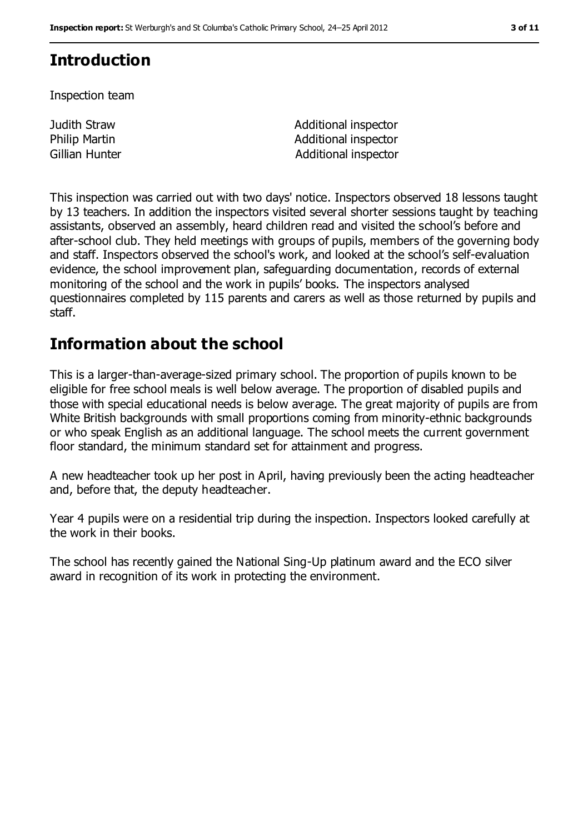# **Introduction**

Inspection team

**Judith Straw**  Additional inspector Philip Martin **Additional inspector** Gillian Hunter **Additional inspector** Additional inspector

This inspection was carried out with two days' notice. Inspectors observed 18 lessons taught by 13 teachers. In addition the inspectors visited several shorter sessions taught by teaching assistants, observed an assembly, heard children read and visited the school's before and after-school club. They held meetings with groups of pupils, members of the governing body and staff. Inspectors observed the school's work, and looked at the school's self-evaluation evidence, the school improvement plan, safeguarding documentation, records of external monitoring of the school and the work in pupils' books. The inspectors analysed questionnaires completed by 115 parents and carers as well as those returned by pupils and staff.

# **Information about the school**

This is a larger-than-average-sized primary school. The proportion of pupils known to be eligible for free school meals is well below average. The proportion of disabled pupils and those with special educational needs is below average. The great majority of pupils are from White British backgrounds with small proportions coming from minority-ethnic backgrounds or who speak English as an additional language. The school meets the current government floor standard, the minimum standard set for attainment and progress.

A new headteacher took up her post in April, having previously been the acting headteacher and, before that, the deputy headteacher.

Year 4 pupils were on a residential trip during the inspection. Inspectors looked carefully at the work in their books.

The school has recently gained the National Sing-Up platinum award and the ECO silver award in recognition of its work in protecting the environment.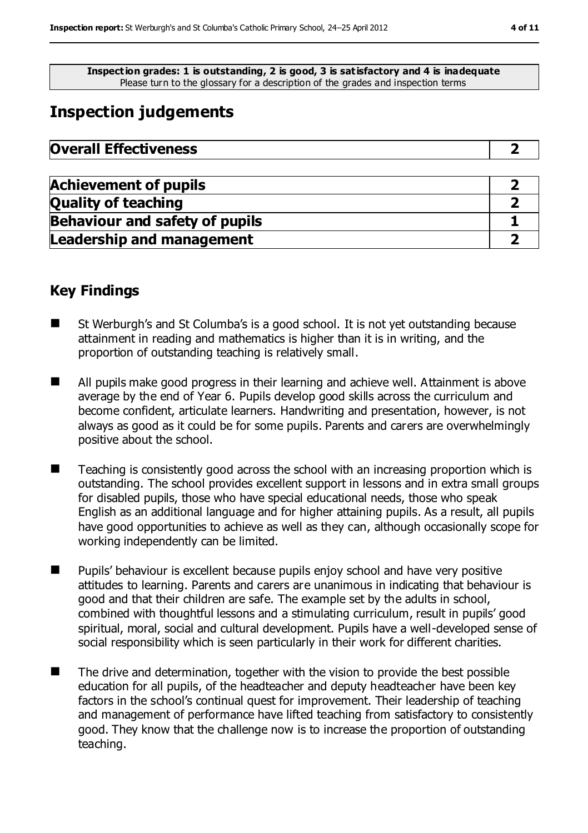**Inspection grades: 1 is outstanding, 2 is good, 3 is satisfactory and 4 is inadequate** Please turn to the glossary for a description of the grades and inspection terms

# **Inspection judgements**

| <b>Overall Effectiveness</b> |  |
|------------------------------|--|
|------------------------------|--|

| <b>Achievement of pupils</b>          |  |
|---------------------------------------|--|
| <b>Quality of teaching</b>            |  |
| <b>Behaviour and safety of pupils</b> |  |
| <b>Leadership and management</b>      |  |

#### **Key Findings**

- St Werburgh's and St Columba's is a good school. It is not vet outstanding because attainment in reading and mathematics is higher than it is in writing, and the proportion of outstanding teaching is relatively small.
- All pupils make good progress in their learning and achieve well. Attainment is above average by the end of Year 6. Pupils develop good skills across the curriculum and become confident, articulate learners. Handwriting and presentation, however, is not always as good as it could be for some pupils. Parents and carers are overwhelmingly positive about the school.
- Teaching is consistently good across the school with an increasing proportion which is outstanding. The school provides excellent support in lessons and in extra small groups for disabled pupils, those who have special educational needs, those who speak English as an additional language and for higher attaining pupils. As a result, all pupils have good opportunities to achieve as well as they can, although occasionally scope for working independently can be limited.
- Pupils' behaviour is excellent because pupils enjoy school and have very positive attitudes to learning. Parents and carers are unanimous in indicating that behaviour is good and that their children are safe. The example set by the adults in school, combined with thoughtful lessons and a stimulating curriculum, result in pupils' good spiritual, moral, social and cultural development. Pupils have a well-developed sense of social responsibility which is seen particularly in their work for different charities.
- The drive and determination, together with the vision to provide the best possible education for all pupils, of the headteacher and deputy headteacher have been key factors in the school's continual quest for improvement. Their leadership of teaching and management of performance have lifted teaching from satisfactory to consistently good. They know that the challenge now is to increase the proportion of outstanding teaching.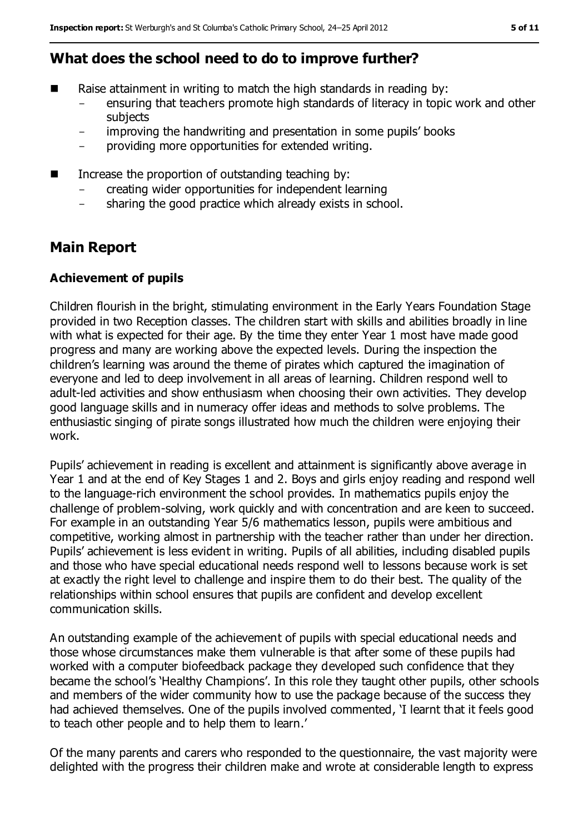## **What does the school need to do to improve further?**

- Raise attainment in writing to match the high standards in reading by:
	- ensuring that teachers promote high standards of literacy in topic work and other subjects
	- improving the handwriting and presentation in some pupils' books
	- providing more opportunities for extended writing.
- Increase the proportion of outstanding teaching by:
	- creating wider opportunities for independent learning
	- sharing the good practice which already exists in school.

# **Main Report**

#### **Achievement of pupils**

Children flourish in the bright, stimulating environment in the Early Years Foundation Stage provided in two Reception classes. The children start with skills and abilities broadly in line with what is expected for their age. By the time they enter Year 1 most have made good progress and many are working above the expected levels. During the inspection the children's learning was around the theme of pirates which captured the imagination of everyone and led to deep involvement in all areas of learning. Children respond well to adult-led activities and show enthusiasm when choosing their own activities. They develop good language skills and in numeracy offer ideas and methods to solve problems. The enthusiastic singing of pirate songs illustrated how much the children were enjoying their work.

Pupils' achievement in reading is excellent and attainment is significantly above average in Year 1 and at the end of Key Stages 1 and 2. Boys and girls enjoy reading and respond well to the language-rich environment the school provides. In mathematics pupils enjoy the challenge of problem-solving, work quickly and with concentration and are keen to succeed. For example in an outstanding Year 5/6 mathematics lesson, pupils were ambitious and competitive, working almost in partnership with the teacher rather than under her direction. Pupils' achievement is less evident in writing. Pupils of all abilities, including disabled pupils and those who have special educational needs respond well to lessons because work is set at exactly the right level to challenge and inspire them to do their best. The quality of the relationships within school ensures that pupils are confident and develop excellent communication skills.

An outstanding example of the achievement of pupils with special educational needs and those whose circumstances make them vulnerable is that after some of these pupils had worked with a computer biofeedback package they developed such confidence that they became the school's 'Healthy Champions'. In this role they taught other pupils, other schools and members of the wider community how to use the package because of the success they had achieved themselves. One of the pupils involved commented, 'I learnt that it feels good to teach other people and to help them to learn.'

Of the many parents and carers who responded to the questionnaire, the vast majority were delighted with the progress their children make and wrote at considerable length to express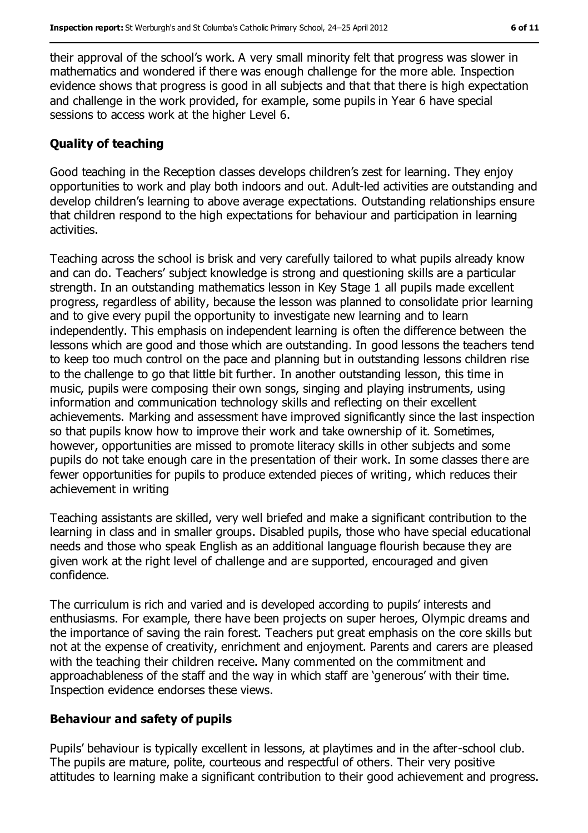their approval of the school's work. A very small minority felt that progress was slower in mathematics and wondered if there was enough challenge for the more able. Inspection evidence shows that progress is good in all subjects and that that there is high expectation and challenge in the work provided, for example, some pupils in Year 6 have special sessions to access work at the higher Level 6.

#### **Quality of teaching**

Good teaching in the Reception classes develops children's zest for learning. They enjoy opportunities to work and play both indoors and out. Adult-led activities are outstanding and develop children's learning to above average expectations. Outstanding relationships ensure that children respond to the high expectations for behaviour and participation in learning activities.

Teaching across the school is brisk and very carefully tailored to what pupils already know and can do. Teachers' subject knowledge is strong and questioning skills are a particular strength. In an outstanding mathematics lesson in Key Stage 1 all pupils made excellent progress, regardless of ability, because the lesson was planned to consolidate prior learning and to give every pupil the opportunity to investigate new learning and to learn independently. This emphasis on independent learning is often the difference between the lessons which are good and those which are outstanding. In good lessons the teachers tend to keep too much control on the pace and planning but in outstanding lessons children rise to the challenge to go that little bit further. In another outstanding lesson, this time in music, pupils were composing their own songs, singing and playing instruments, using information and communication technology skills and reflecting on their excellent achievements. Marking and assessment have improved significantly since the last inspection so that pupils know how to improve their work and take ownership of it. Sometimes, however, opportunities are missed to promote literacy skills in other subjects and some pupils do not take enough care in the presentation of their work. In some classes there are fewer opportunities for pupils to produce extended pieces of writing, which reduces their achievement in writing

Teaching assistants are skilled, very well briefed and make a significant contribution to the learning in class and in smaller groups. Disabled pupils, those who have special educational needs and those who speak English as an additional language flourish because they are given work at the right level of challenge and are supported, encouraged and given confidence.

The curriculum is rich and varied and is developed according to pupils' interests and enthusiasms. For example, there have been projects on super heroes, Olympic dreams and the importance of saving the rain forest. Teachers put great emphasis on the core skills but not at the expense of creativity, enrichment and enjoyment. Parents and carers are pleased with the teaching their children receive. Many commented on the commitment and approachableness of the staff and the way in which staff are 'generous' with their time. Inspection evidence endorses these views.

#### **Behaviour and safety of pupils**

Pupils' behaviour is typically excellent in lessons, at playtimes and in the after-school club. The pupils are mature, polite, courteous and respectful of others. Their very positive attitudes to learning make a significant contribution to their good achievement and progress.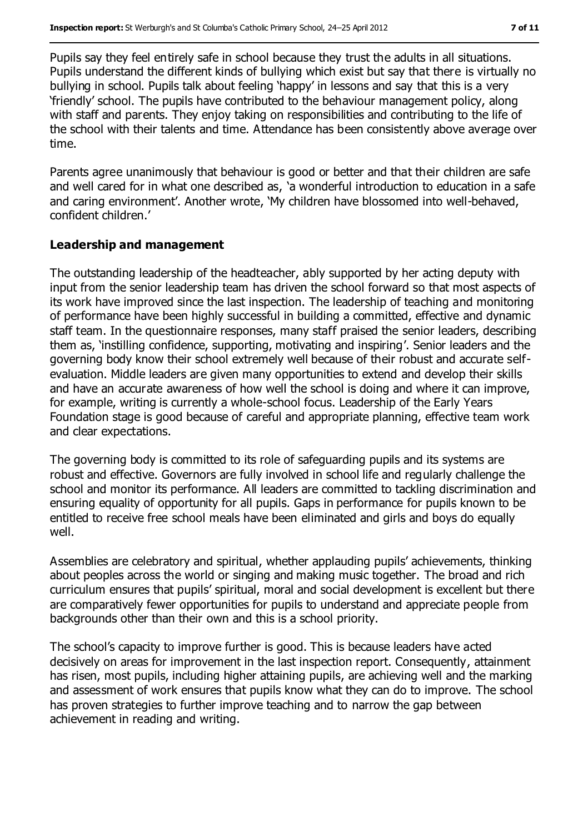Pupils say they feel entirely safe in school because they trust the adults in all situations. Pupils understand the different kinds of bullying which exist but say that there is virtually no bullying in school. Pupils talk about feeling 'happy' in lessons and say that this is a very 'friendly' school. The pupils have contributed to the behaviour management policy, along with staff and parents. They enjoy taking on responsibilities and contributing to the life of the school with their talents and time. Attendance has been consistently above average over time.

Parents agree unanimously that behaviour is good or better and that their children are safe and well cared for in what one described as, 'a wonderful introduction to education in a safe and caring environment'. Another wrote, 'My children have blossomed into well-behaved, confident children.'

#### **Leadership and management**

The outstanding leadership of the headteacher, ably supported by her acting deputy with input from the senior leadership team has driven the school forward so that most aspects of its work have improved since the last inspection. The leadership of teaching and monitoring of performance have been highly successful in building a committed, effective and dynamic staff team. In the questionnaire responses, many staff praised the senior leaders, describing them as, 'instilling confidence, supporting, motivating and inspiring'. Senior leaders and the governing body know their school extremely well because of their robust and accurate selfevaluation. Middle leaders are given many opportunities to extend and develop their skills and have an accurate awareness of how well the school is doing and where it can improve, for example, writing is currently a whole-school focus. Leadership of the Early Years Foundation stage is good because of careful and appropriate planning, effective team work and clear expectations.

The governing body is committed to its role of safeguarding pupils and its systems are robust and effective. Governors are fully involved in school life and regularly challenge the school and monitor its performance. All leaders are committed to tackling discrimination and ensuring equality of opportunity for all pupils. Gaps in performance for pupils known to be entitled to receive free school meals have been eliminated and girls and boys do equally well.

Assemblies are celebratory and spiritual, whether applauding pupils' achievements, thinking about peoples across the world or singing and making music together. The broad and rich curriculum ensures that pupils' spiritual, moral and social development is excellent but there are comparatively fewer opportunities for pupils to understand and appreciate people from backgrounds other than their own and this is a school priority.

The school's capacity to improve further is good. This is because leaders have acted decisively on areas for improvement in the last inspection report. Consequently, attainment has risen, most pupils, including higher attaining pupils, are achieving well and the marking and assessment of work ensures that pupils know what they can do to improve. The school has proven strategies to further improve teaching and to narrow the gap between achievement in reading and writing.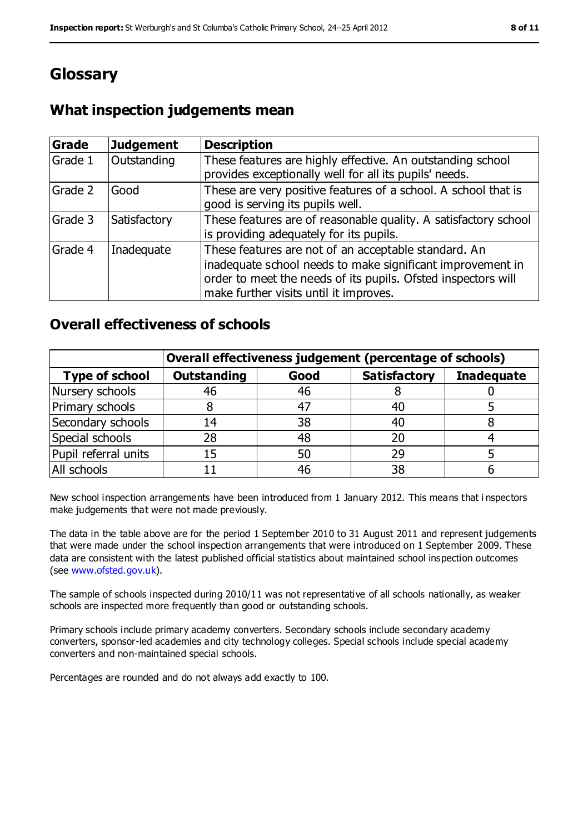# **Glossary**

### **What inspection judgements mean**

| Grade   | <b>Judgement</b> | <b>Description</b>                                                                                                                                                                                                            |
|---------|------------------|-------------------------------------------------------------------------------------------------------------------------------------------------------------------------------------------------------------------------------|
| Grade 1 | Outstanding      | These features are highly effective. An outstanding school<br>provides exceptionally well for all its pupils' needs.                                                                                                          |
| Grade 2 | Good             | These are very positive features of a school. A school that is<br>good is serving its pupils well.                                                                                                                            |
| Grade 3 | Satisfactory     | These features are of reasonable quality. A satisfactory school<br>is providing adequately for its pupils.                                                                                                                    |
| Grade 4 | Inadequate       | These features are not of an acceptable standard. An<br>inadequate school needs to make significant improvement in<br>order to meet the needs of its pupils. Ofsted inspectors will<br>make further visits until it improves. |

#### **Overall effectiveness of schools**

|                       | Overall effectiveness judgement (percentage of schools) |      |                     |                   |
|-----------------------|---------------------------------------------------------|------|---------------------|-------------------|
| <b>Type of school</b> | <b>Outstanding</b>                                      | Good | <b>Satisfactory</b> | <b>Inadequate</b> |
| Nursery schools       | 46                                                      | 46   |                     |                   |
| Primary schools       |                                                         | 47   | 40                  |                   |
| Secondary schools     | 14                                                      | 38   | 40                  |                   |
| Special schools       | 28                                                      | 48   | 20                  |                   |
| Pupil referral units  | 15                                                      | 50   | 29                  |                   |
| All schools           |                                                         | 46   | 38                  |                   |

New school inspection arrangements have been introduced from 1 January 2012. This means that i nspectors make judgements that were not made previously.

The data in the table above are for the period 1 September 2010 to 31 August 2011 and represent judgements that were made under the school inspection arrangements that were introduced on 1 September 2009. These data are consistent with the latest published official statistics about maintained school inspection outcomes (see [www.ofsted.gov.uk\)](../../AppData/Downloads/www.ofsted.gov.uk).

The sample of schools inspected during 2010/11 was not representative of all schools nationally, as weaker schools are inspected more frequently than good or outstanding schools.

Primary schools include primary academy converters. Secondary schools include secondary academy converters, sponsor-led academies and city technology colleges. Special schools include special academy converters and non-maintained special schools.

Percentages are rounded and do not always add exactly to 100.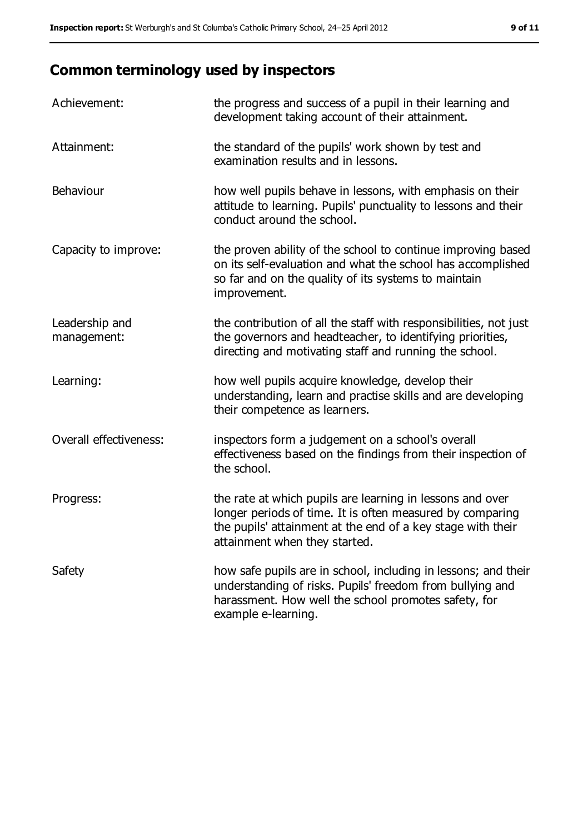# **Common terminology used by inspectors**

| Achievement:                  | the progress and success of a pupil in their learning and<br>development taking account of their attainment.                                                                                                           |
|-------------------------------|------------------------------------------------------------------------------------------------------------------------------------------------------------------------------------------------------------------------|
| Attainment:                   | the standard of the pupils' work shown by test and<br>examination results and in lessons.                                                                                                                              |
| Behaviour                     | how well pupils behave in lessons, with emphasis on their<br>attitude to learning. Pupils' punctuality to lessons and their<br>conduct around the school.                                                              |
| Capacity to improve:          | the proven ability of the school to continue improving based<br>on its self-evaluation and what the school has accomplished<br>so far and on the quality of its systems to maintain<br>improvement.                    |
| Leadership and<br>management: | the contribution of all the staff with responsibilities, not just<br>the governors and headteacher, to identifying priorities,<br>directing and motivating staff and running the school.                               |
| Learning:                     | how well pupils acquire knowledge, develop their<br>understanding, learn and practise skills and are developing<br>their competence as learners.                                                                       |
| Overall effectiveness:        | inspectors form a judgement on a school's overall<br>effectiveness based on the findings from their inspection of<br>the school.                                                                                       |
| Progress:                     | the rate at which pupils are learning in lessons and over<br>longer periods of time. It is often measured by comparing<br>the pupils' attainment at the end of a key stage with their<br>attainment when they started. |
| Safety                        | how safe pupils are in school, including in lessons; and their<br>understanding of risks. Pupils' freedom from bullying and<br>harassment. How well the school promotes safety, for<br>example e-learning.             |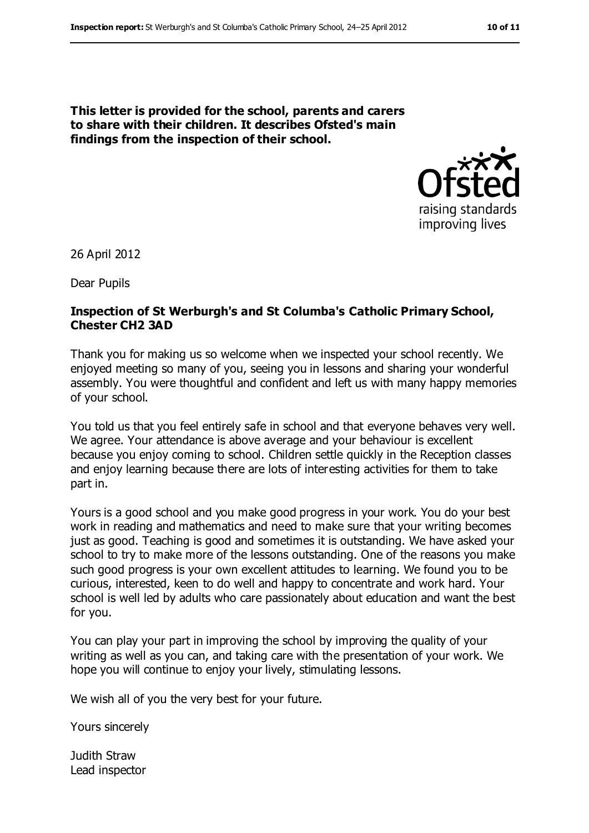**This letter is provided for the school, parents and carers to share with their children. It describes Ofsted's main findings from the inspection of their school.**



26 April 2012

Dear Pupils

#### **Inspection of St Werburgh's and St Columba's Catholic Primary School, Chester CH2 3AD**

Thank you for making us so welcome when we inspected your school recently. We enjoyed meeting so many of you, seeing you in lessons and sharing your wonderful assembly. You were thoughtful and confident and left us with many happy memories of your school.

You told us that you feel entirely safe in school and that everyone behaves very well. We agree. Your attendance is above average and your behaviour is excellent because you enjoy coming to school. Children settle quickly in the Reception classes and enjoy learning because there are lots of interesting activities for them to take part in.

Yours is a good school and you make good progress in your work. You do your best work in reading and mathematics and need to make sure that your writing becomes just as good. Teaching is good and sometimes it is outstanding. We have asked your school to try to make more of the lessons outstanding. One of the reasons you make such good progress is your own excellent attitudes to learning. We found you to be curious, interested, keen to do well and happy to concentrate and work hard. Your school is well led by adults who care passionately about education and want the best for you.

You can play your part in improving the school by improving the quality of your writing as well as you can, and taking care with the presentation of your work. We hope you will continue to enjoy your lively, stimulating lessons.

We wish all of you the very best for your future.

Yours sincerely

Judith Straw Lead inspector